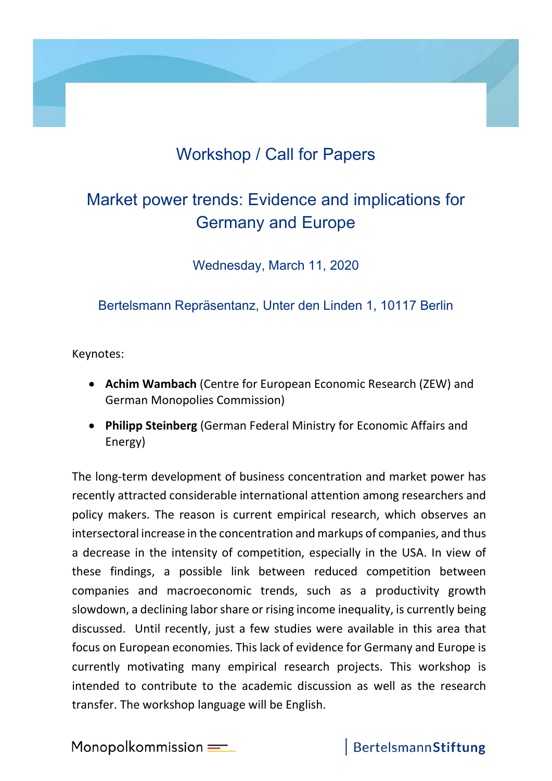## Workshop / Call for Papers

## Market power trends: Evidence and implications for Germany and Europe

Wednesday, March 11, 2020

Bertelsmann Repräsentanz, Unter den Linden 1, 10117 Berlin

Keynotes:

- Achim Wambach (Centre for European Economic Research (ZEW) and German Monopolies Commission)
- Philipp Steinberg (German Federal Ministry for Economic Affairs and Energy)

The long-term development of business concentration and market power has recently attracted considerable international attention among researchers and policy makers. The reason is current empirical research, which observes an intersectoral increase in the concentration and markups of companies, and thus a decrease in the intensity of competition, especially in the USA. In view of these findings, a possible link between reduced competition between companies and macroeconomic trends, such as a productivity growth slowdown, a declining labor share or rising income inequality, is currently being discussed. Until recently, just a few studies were available in this area that focus on European economies. This lack of evidence for Germany and Europe is currently motivating many empirical research projects. This workshop is intended to contribute to the academic discussion as well as the research transfer. The workshop language will be English.

Monopolkommission $=$ 

## BertelsmannStiftung